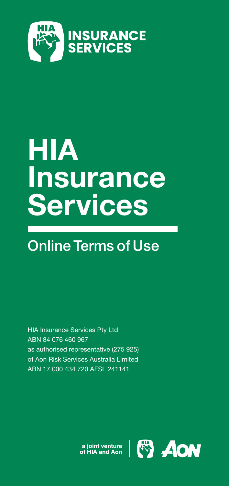

# HIA Insurance **Services**

# Online Terms of Use

HIA Insurance Services Pty Ltd ABN 84 076 460 967 as authorised representative (275 925) of Aon Risk Services Australia Limited ABN 17 000 434 720 AFSL 241141

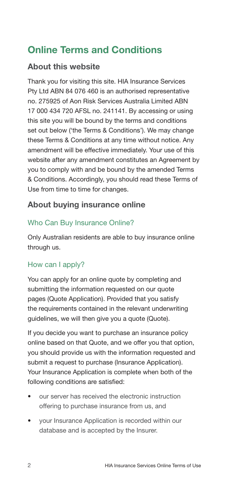# Online Terms and Conditions

# About this website

Thank you for visiting this site. HIA Insurance Services Pty Ltd ABN 84 076 460 is an authorised representative no. 275925 of Aon Risk Services Australia Limited ABN 17 000 434 720 AFSL no. 241141. By accessing or using this site you will be bound by the terms and conditions set out below ('the Terms & Conditions'). We may change these Terms & Conditions at any time without notice. Any amendment will be effective immediately. Your use of this website after any amendment constitutes an Agreement by you to comply with and be bound by the amended Terms & Conditions. Accordingly, you should read these Terms of Use from time to time for changes.

# About buying insurance online

# Who Can Buy Insurance Online?

Only Australian residents are able to buy insurance online through us.

## How can I apply?

You can apply for an online quote by completing and submitting the information requested on our quote pages (Quote Application). Provided that you satisfy the requirements contained in the relevant underwriting guidelines, we will then give you a quote (Quote).

If you decide you want to purchase an insurance policy online based on that Quote, and we offer you that option, you should provide us with the information requested and submit a request to purchase (Insurance Application). Your Insurance Application is complete when both of the following conditions are satisfied:

- our server has received the electronic instruction offering to purchase insurance from us, and
- your Insurance Application is recorded within our database and is accepted by the Insurer.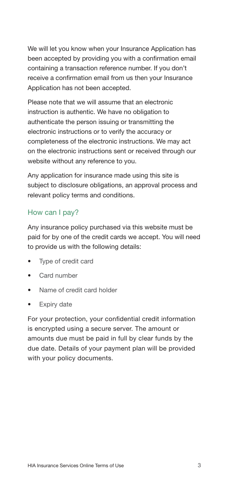We will let you know when your Insurance Application has been accepted by providing you with a confirmation email containing a transaction reference number. If you don't receive a confirmation email from us then your Insurance Application has not been accepted.

Please note that we will assume that an electronic instruction is authentic. We have no obligation to authenticate the person issuing or transmitting the electronic instructions or to verify the accuracy or completeness of the electronic instructions. We may act on the electronic instructions sent or received through our website without any reference to you.

Any application for insurance made using this site is subject to disclosure obligations, an approval process and relevant policy terms and conditions.

### How can I pay?

Any insurance policy purchased via this website must be paid for by one of the credit cards we accept. You will need to provide us with the following details:

- Type of credit card
- Card number
- Name of credit card holder
- Expiry date

For your protection, your confidential credit information is encrypted using a secure server. The amount or amounts due must be paid in full by clear funds by the due date. Details of your payment plan will be provided with your policy documents.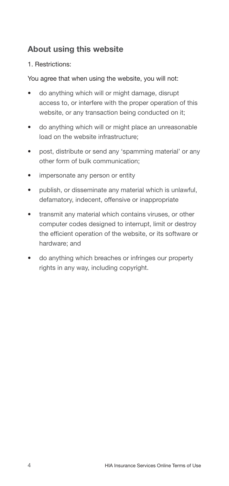# About using this website

#### 1. Restrictions:

You agree that when using the website, you will not:

- do anything which will or might damage, disrupt access to, or interfere with the proper operation of this website, or any transaction being conducted on it;
- do anything which will or might place an unreasonable load on the website infrastructure;
- post, distribute or send any 'spamming material' or any other form of bulk communication;
- impersonate any person or entity
- publish, or disseminate any material which is unlawful, defamatory, indecent, offensive or inappropriate
- transmit any material which contains viruses, or other computer codes designed to interrupt, limit or destroy the efficient operation of the website, or its software or hardware; and
- do anything which breaches or infringes our property rights in any way, including copyright.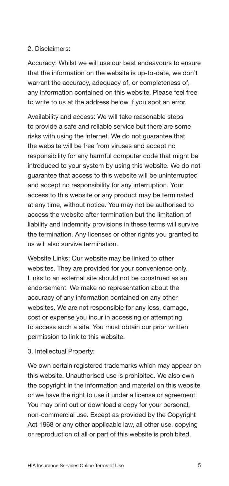#### 2. Disclaimers:

Accuracy: Whilst we will use our best endeavours to ensure that the information on the website is up-to-date, we don't warrant the accuracy, adequacy of, or completeness of, any information contained on this website. Please feel free to write to us at the address below if you spot an error.

Availability and access: We will take reasonable steps to provide a safe and reliable service but there are some risks with using the internet. We do not guarantee that the website will be free from viruses and accept no responsibility for any harmful computer code that might be introduced to your system by using this website. We do not guarantee that access to this website will be uninterrupted and accept no responsibility for any interruption. Your access to this website or any product may be terminated at any time, without notice. You may not be authorised to access the website after termination but the limitation of liability and indemnity provisions in these terms will survive the termination. Any licenses or other rights you granted to us will also survive termination.

Website Links: Our website may be linked to other websites. They are provided for your convenience only. Links to an external site should not be construed as an endorsement. We make no representation about the accuracy of any information contained on any other websites. We are not responsible for any loss, damage, cost or expense you incur in accessing or attempting to access such a site. You must obtain our prior written permission to link to this website.

#### 3. Intellectual Property:

We own certain registered trademarks which may appear on this website. Unauthorised use is prohibited. We also own the copyright in the information and material on this website or we have the right to use it under a license or agreement. You may print out or download a copy for your personal, non-commercial use. Except as provided by the Copyright Act 1968 or any other applicable law, all other use, copying or reproduction of all or part of this website is prohibited.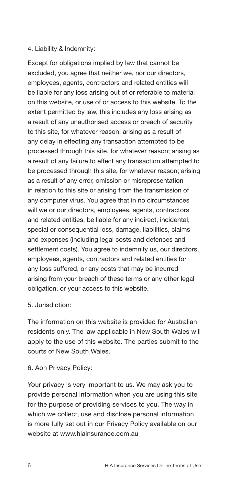#### 4. Liability & Indemnity:

Except for obligations implied by law that cannot be excluded, you agree that neither we, nor our directors, employees, agents, contractors and related entities will be liable for any loss arising out of or referable to material on this website, or use of or access to this website. To the extent permitted by law, this includes any loss arising as a result of any unauthorised access or breach of security to this site, for whatever reason; arising as a result of any delay in effecting any transaction attempted to be processed through this site, for whatever reason; arising as a result of any failure to effect any transaction attempted to be processed through this site, for whatever reason; arising as a result of any error, omission or misrepresentation in relation to this site or arising from the transmission of any computer virus. You agree that in no circumstances will we or our directors, employees, agents, contractors and related entities, be liable for any indirect, incidental, special or consequential loss, damage, liabilities, claims and expenses (including legal costs and defences and settlement costs). You agree to indemnify us, our directors, employees, agents, contractors and related entities for any loss suffered, or any costs that may be incurred arising from your breach of these terms or any other legal obligation, or your access to this website.

#### 5. Jurisdiction:

The information on this website is provided for Australian residents only. The law applicable in New South Wales will apply to the use of this website. The parties submit to the courts of New South Wales.

#### 6. Aon Privacy Policy:

Your privacy is very important to us. We may ask you to provide personal information when you are using this site for the purpose of providing services to you. The way in which we collect, use and disclose personal information is more fully set out in our Privacy Policy available on our website at www.hiainsurance.com.au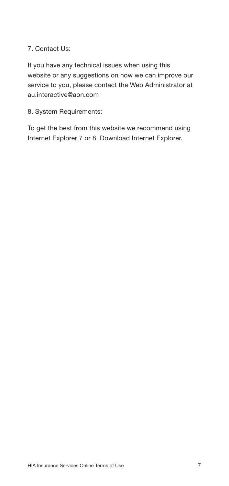#### 7. Contact Us:

If you have any technical issues when using this website or any suggestions on how we can improve our service to you, please contact the Web Administrator at au.interactive@aon.com

8. System Requirements:

To get the best from this website we recommend using Internet Explorer 7 or 8. Download Internet Explorer.